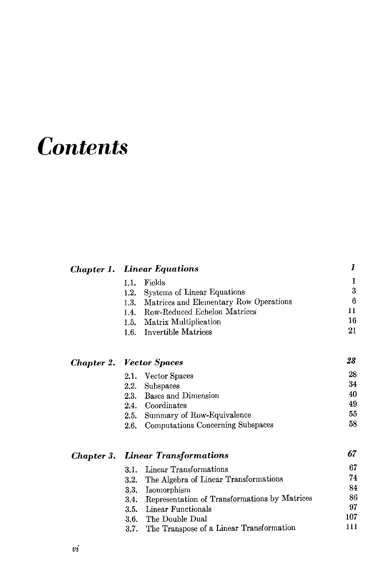## **Contents**

Chapter 1. Linear Equations

|                                 | 1.1. | Fields                                             | 1   |
|---------------------------------|------|----------------------------------------------------|-----|
|                                 | 1.2. | Systems of Linear Equations                        | 3   |
|                                 |      | 1.3. Matrices and Elementary Row Operations        | 6   |
|                                 |      | 1.4. Row-Reduced Echelon Matrices                  | 11  |
|                                 |      | 1.5. Matrix Multiplication                         | 16  |
|                                 |      | 1.6. Invertible Matrices                           | 21  |
| <b>Chapter 2. Vector Spaces</b> |      |                                                    | 28  |
|                                 |      | 2.1. Vector Spaces                                 | 28  |
|                                 | 2.2. | Subspaces                                          | 34  |
|                                 |      | 2.3. Bases and Dimension                           | 40  |
|                                 |      | 2.4. Coordinates                                   | 49  |
|                                 |      | 2.5. Summary of Row-Equivalence                    | 55  |
|                                 | 2.6. | Computations Concerning Subspaces                  | 58  |
|                                 |      | <b>Chapter 3. Linear Transformations</b>           | 67  |
|                                 | 3.1. | Linear Transformations                             | 67  |
|                                 | 3.2. | The Algebra of Linear Transformations              | 74  |
|                                 | 3.3. | Isomorphism                                        | 84  |
|                                 |      | 3.4. Representation of Transformations by Matrices | 86  |
|                                 |      | 3.5. Linear Functionals                            | 97  |
|                                 |      | 3.6. The Double Dual                               | 107 |
|                                 |      | 3.7. The Transpose of a Linear Transformation      | 111 |

1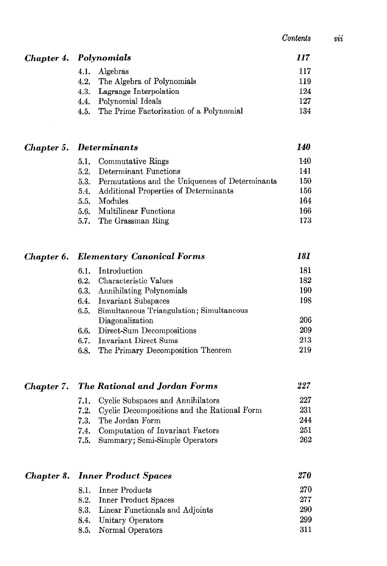| Contents |  |
|----------|--|
|----------|--|

 $\it{vi}$ 

|  | Chapter 4. Polynomials                       | 117 |
|--|----------------------------------------------|-----|
|  | 4.1. Algebras                                | 117 |
|  | 4.2. The Algebra of Polynomials              | 119 |
|  | 4.3. Lagrange Interpolation                  | 124 |
|  | 4.4. Polynomial Ideals                       | 127 |
|  | 4.5. The Prime Factorization of a Polynomial | 134 |
|  |                                              |     |

|  | <b>Chapter 5. Determinants</b> |                          | 140 |
|--|--------------------------------|--------------------------|-----|
|  |                                | 5.1. Commutative Rings   | 140 |
|  |                                | 52 Determinant Functions |     |

| 5.2. Determinant Functions                           | 14 L |
|------------------------------------------------------|------|
| 5.3. Permutations and the Uniqueness of Determinants | 150  |
| 5.4. Additional Properties of Determinants           | 156  |
| 5.5. Modules                                         | 164  |
| 5.6. Multilinear Functions                           | 166  |
| 5.7. The Grassman Ring                               | 173  |

|  | <b>Chapter 6. Elementary Canonical Forms</b> |                                               | 181 |
|--|----------------------------------------------|-----------------------------------------------|-----|
|  |                                              | 6.1. Introduction                             | 181 |
|  |                                              | 6.2. Characteristic Values                    | 182 |
|  |                                              | 6.3. Annihilating Polynomials                 | 190 |
|  |                                              | 6.4. Invariant Subspaces                      | 198 |
|  |                                              | 6.5. Simultaneous Triangulation; Simultaneous |     |
|  |                                              | Diagonalization                               | 206 |
|  |                                              | 6.6. Direct-Sum Decompositions                | 209 |
|  |                                              | 6.7. Invariant Direct Sums                    | 213 |
|  | 6.8.                                         | The Primary Decomposition Theorem             | 219 |

| <b>Chapter 7. The Rational and Jordan Forms</b> |
|-------------------------------------------------|
|                                                 |
|                                                 |
|                                                 |
|                                                 |
|                                                 |

|  | <b>Chapter 8. Inner Product Spaces</b> |                                      | <i>270</i> |
|--|----------------------------------------|--------------------------------------|------------|
|  |                                        | 8.1. Inner Products                  | 270        |
|  |                                        | 8.2. Inner Product Spaces            | 277        |
|  |                                        | 8.3. Linear Functionals and Adjoints | 290        |
|  |                                        | 8.4. Unitary Operators               | 299        |
|  |                                        | 8.5. Normal Operators                | 311        |